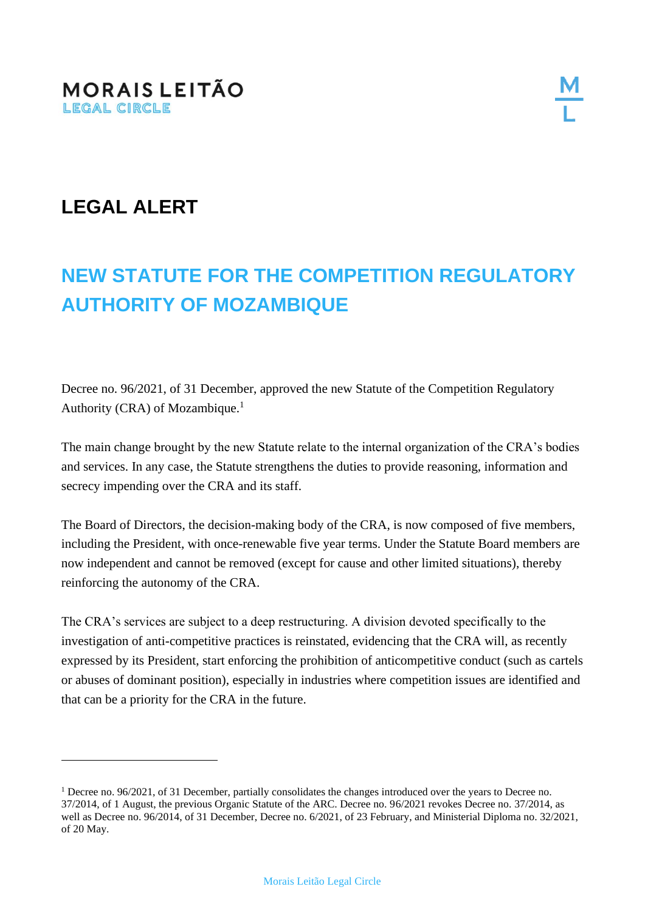## **LEGAL ALERT**

# **NEW STATUTE FOR THE COMPETITION REGULATORY AUTHORITY OF MOZAMBIQUE**

Decree no. 96/2021, of 31 December, approved the new Statute of the Competition Regulatory Authority (CRA) of Mozambique.<sup>1</sup>

The main change brought by the new Statute relate to the internal organization of the CRA's bodies and services. In any case, the Statute strengthens the duties to provide reasoning, information and secrecy impending over the CRA and its staff.

The Board of Directors, the decision-making body of the CRA, is now composed of five members, including the President, with once-renewable five year terms. Under the Statute Board members are now independent and cannot be removed (except for cause and other limited situations), thereby reinforcing the autonomy of the CRA.

The CRA's services are subject to a deep restructuring. A division devoted specifically to the investigation of anti-competitive practices is reinstated, evidencing that the CRA will, as recently expressed by its President, start enforcing the prohibition of anticompetitive conduct (such as cartels or abuses of dominant position), especially in industries where competition issues are identified and that can be a priority for the CRA in the future.

<sup>1</sup> Decree no. 96/2021, of 31 December, partially consolidates the changes introduced over the years to Decree no. 37/2014, of 1 August, the previous Organic Statute of the ARC. Decree no. 96/2021 revokes Decree no. 37/2014, as well as Decree no. 96/2014, of 31 December, Decree no. 6/2021, of 23 February, and Ministerial Diploma no. 32/2021, of 20 May.